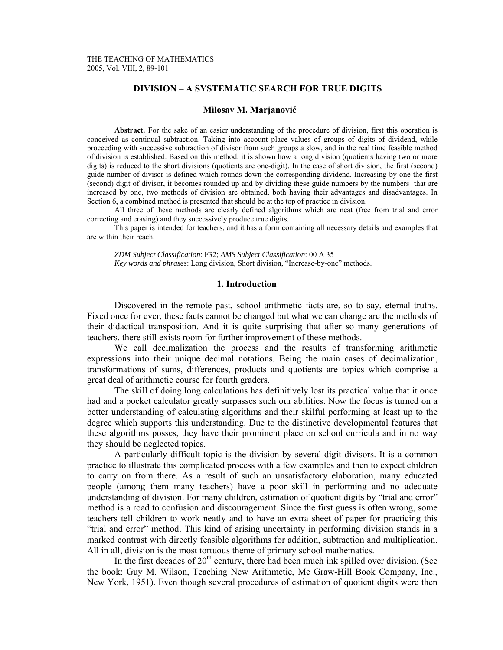# **DIVISION – A SYSTEMATIC SEARCH FOR TRUE DIGITS**

#### **Milosav M. Marjanović**

 **Abstract.** For the sake of an easier understanding of the procedure of division, first this operation is conceived as continual subtraction. Taking into account place values of groups of digits of dividend, while proceeding with successive subtraction of divisor from such groups a slow, and in the real time feasible method of division is established. Based on this method, it is shown how a long division (quotients having two or more digits) is reduced to the short divisions (quotients are one-digit). In the case of short division, the first (second) guide number of divisor is defined which rounds down the corresponding dividend. Increasing by one the first (second) digit of divisor, it becomes rounded up and by dividing these guide numbers by the numbers that are increased by one, two methods of division are obtained, both having their advantages and disadvantages. In Section 6, a combined method is presented that should be at the top of practice in division.

 All three of these methods are clearly defined algorithms which are neat (free from trial and error correcting and erasing) and they successively produce true digits.

 This paper is intended for teachers, and it has a form containing all necessary details and examples that are within their reach.

*ZDM Subject Classification*: F32; *AMS Subject Classification*: 00 A 35 *Key words and phrases*: Long division, Short division, "Increase-by-one" methods.

#### **1. Introduction**

 Discovered in the remote past, school arithmetic facts are, so to say, eternal truths. Fixed once for ever, these facts cannot be changed but what we can change are the methods of their didactical transposition. And it is quite surprising that after so many generations of teachers, there still exists room for further improvement of these methods.

 We call decimalization the process and the results of transforming arithmetic expressions into their unique decimal notations. Being the main cases of decimalization, transformations of sums, differences, products and quotients are topics which comprise a great deal of arithmetic course for fourth graders.

 The skill of doing long calculations has definitively lost its practical value that it once had and a pocket calculator greatly surpasses such our abilities. Now the focus is turned on a better understanding of calculating algorithms and their skilful performing at least up to the degree which supports this understanding. Due to the distinctive developmental features that these algorithms posses, they have their prominent place on school curricula and in no way they should be neglected topics.

 A particularly difficult topic is the division by several-digit divisors. It is a common practice to illustrate this complicated process with a few examples and then to expect children to carry on from there. As a result of such an unsatisfactory elaboration, many educated people (among them many teachers) have a poor skill in performing and no adequate understanding of division. For many children, estimation of quotient digits by "trial and error" method is a road to confusion and discouragement. Since the first guess is often wrong, some teachers tell children to work neatly and to have an extra sheet of paper for practicing this "trial and error" method. This kind of arising uncertainty in performing division stands in a marked contrast with directly feasible algorithms for addition, subtraction and multiplication. All in all, division is the most tortuous theme of primary school mathematics.

In the first decades of  $20<sup>th</sup>$  century, there had been much ink spilled over division. (See the book: Guy M. Wilson, Teaching New Arithmetic, Mc Graw-Hill Book Company, Inc., New York, 1951). Even though several procedures of estimation of quotient digits were then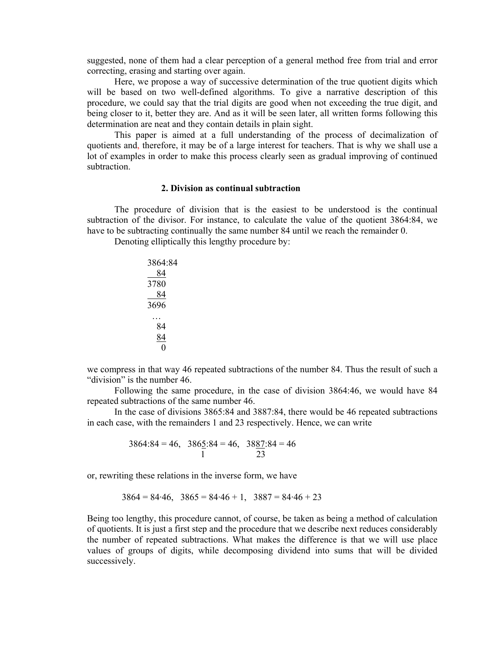suggested, none of them had a clear perception of a general method free from trial and error correcting, erasing and starting over again.

 Here, we propose a way of successive determination of the true quotient digits which will be based on two well-defined algorithms. To give a narrative description of this procedure, we could say that the trial digits are good when not exceeding the true digit, and being closer to it, better they are. And as it will be seen later, all written forms following this determination are neat and they contain details in plain sight.

 This paper is aimed at a full understanding of the process of decimalization of quotients and, therefore, it may be of a large interest for teachers. That is why we shall use a lot of examples in order to make this process clearly seen as gradual improving of continued subtraction.

#### **2. Division as continual subtraction**

 The procedure of division that is the easiest to be understood is the continual subtraction of the divisor. For instance, to calculate the value of the quotient 3864:84, we have to be subtracting continually the same number 84 until we reach the remainder 0.

Denoting elliptically this lengthy procedure by:

| 3864:84 |
|---------|
| 84      |
| 3780    |
| 84      |
| 3696    |
|         |
| 84      |
| 84      |
| 0       |

we compress in that way 46 repeated subtractions of the number 84. Thus the result of such a "division" is the number 46.

 Following the same procedure, in the case of division 3864:46, we would have 84 repeated subtractions of the same number 46.

 In the case of divisions 3865:84 and 3887:84, there would be 46 repeated subtractions in each case, with the remainders 1 and 23 respectively. Hence, we can write

$$
3864.84 = 46, \quad 386 \underline{5}.84 = 46, \quad 38 \underline{87}.84 = 46
$$
  
1 23

or, rewriting these relations in the inverse form, we have

$$
3864 = 84.46, \quad 3865 = 84.46 + 1, \quad 3887 = 84.46 + 23
$$

Being too lengthy, this procedure cannot, of course, be taken as being a method of calculation of quotients. It is just a first step and the procedure that we describe next reduces considerably the number of repeated subtractions. What makes the difference is that we will use place values of groups of digits, while decomposing dividend into sums that will be divided successively.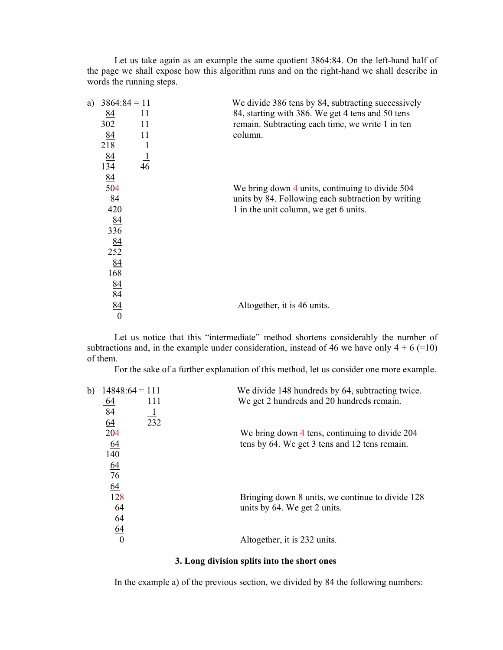Let us take again as an example the same quotient 3864:84. On the left-hand half of the page we shall expose how this algorithm runs and on the right-hand we shall describe in words the running steps.

| a) |                                                                                                                                          | We divide 386 tens by 84, subtracting successively |
|----|------------------------------------------------------------------------------------------------------------------------------------------|----------------------------------------------------|
|    | 11                                                                                                                                       | 84, starting with 386. We get 4 tens and 50 tens   |
|    | 11                                                                                                                                       | remain. Subtracting each time, we write 1 in ten   |
|    | 11                                                                                                                                       | column.                                            |
|    | -1                                                                                                                                       |                                                    |
| 84 |                                                                                                                                          |                                                    |
|    |                                                                                                                                          |                                                    |
| 84 |                                                                                                                                          |                                                    |
|    |                                                                                                                                          | We bring down 4 units, continuing to divide 504    |
|    |                                                                                                                                          | units by 84. Following each subtraction by writing |
|    |                                                                                                                                          | 1 in the unit column, we get 6 units.              |
|    |                                                                                                                                          |                                                    |
|    |                                                                                                                                          |                                                    |
|    |                                                                                                                                          |                                                    |
|    |                                                                                                                                          |                                                    |
|    |                                                                                                                                          |                                                    |
|    |                                                                                                                                          |                                                    |
|    |                                                                                                                                          |                                                    |
|    |                                                                                                                                          |                                                    |
|    |                                                                                                                                          | Altogether, it is 46 units.                        |
|    |                                                                                                                                          |                                                    |
|    | $\frac{84}{302}$<br>84<br>218<br>134<br>504<br>84<br>420<br>84<br>336<br>$\frac{84}{252}$<br>84<br>168<br>$\frac{84}{84}$ $\frac{84}{0}$ | $3864:84 = 11$<br>$\frac{1}{46}$                   |

 Let us notice that this "intermediate" method shortens considerably the number of subtractions and, in the example under consideration, instead of 46 we have only  $4 + 6 (=10)$ of them.

For the sake of a further explanation of this method, let us consider one more example.

| b) | $14848:64 = 111$ |     | We divide 148 hundreds by 64, subtracting twice. |
|----|------------------|-----|--------------------------------------------------|
|    | <u>64</u>        | 111 | We get 2 hundreds and 20 hundreds remain.        |
|    | 84               |     |                                                  |
|    | <u>64</u>        | 232 |                                                  |
|    | 204              |     | We bring down 4 tens, continuing to divide 204   |
|    | <u>64</u>        |     | tens by 64. We get 3 tens and 12 tens remain.    |
|    | 140              |     |                                                  |
|    | <u>64</u>        |     |                                                  |
|    | $\overline{76}$  |     |                                                  |
|    | $\underline{64}$ |     |                                                  |
|    | 128              |     | Bringing down 8 units, we continue to divide 128 |
|    | 64               |     | units by 64. We get 2 units.                     |
|    | 64               |     |                                                  |
|    | 64               |     |                                                  |
|    | $\theta$         |     | Altogether, it is 232 units.                     |
|    |                  |     |                                                  |

# **3. Long division splits into the short ones**

In the example a) of the previous section, we divided by 84 the following numbers: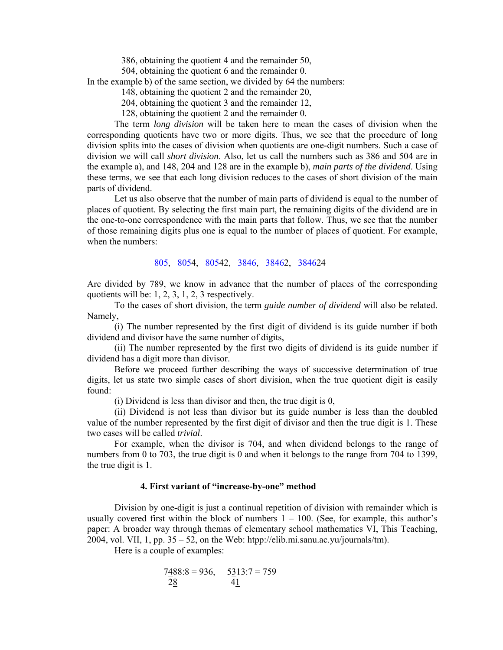386, obtaining the quotient 4 and the remainder 50,

504, obtaining the quotient 6 and the remainder 0.

In the example b) of the same section, we divided by 64 the numbers:

148, obtaining the quotient 2 and the remainder 20,

204, obtaining the quotient 3 and the remainder 12,

128, obtaining the quotient 2 and the remainder 0.

 The term *long division* will be taken here to mean the cases of division when the corresponding quotients have two or more digits. Thus, we see that the procedure of long division splits into the cases of division when quotients are one-digit numbers. Such a case of division we will call *short division*. Also, let us call the numbers such as 386 and 504 are in the example a), and 148, 204 and 128 are in the example b), *main parts of the dividend*. Using these terms, we see that each long division reduces to the cases of short division of the main parts of dividend.

 Let us also observe that the number of main parts of dividend is equal to the number of places of quotient. By selecting the first main part, the remaining digits of the dividend are in the one-to-one correspondence with the main parts that follow. Thus, we see that the number of those remaining digits plus one is equal to the number of places of quotient. For example, when the numbers:

805, 8054, 80542, 3846, 38462, 384624

Are divided by 789, we know in advance that the number of places of the corresponding quotients will be: 1, 2, 3, 1, 2, 3 respectively.

 To the cases of short division, the term *guide number of dividend* will also be related. Namely,

 (i) The number represented by the first digit of dividend is its guide number if both dividend and divisor have the same number of digits,

 (ii) The number represented by the first two digits of dividend is its guide number if dividend has a digit more than divisor.

 Before we proceed further describing the ways of successive determination of true digits, let us state two simple cases of short division, when the true quotient digit is easily found:

(i) Dividend is less than divisor and then, the true digit is 0,

 (ii) Dividend is not less than divisor but its guide number is less than the doubled value of the number represented by the first digit of divisor and then the true digit is 1. These two cases will be called *trivial*.

 For example, when the divisor is 704, and when dividend belongs to the range of numbers from 0 to 703, the true digit is 0 and when it belongs to the range from 704 to 1399, the true digit is 1.

#### **4. First variant of "increase-by-one" method**

 Division by one-digit is just a continual repetition of division with remainder which is usually covered first within the block of numbers  $1 - 100$ . (See, for example, this author's paper: A broader way through themas of elementary school mathematics VI, This Teaching, 2004, vol. VII, 1, pp. 35 – 52, on the Web: htpp://elib.mi.sanu.ac.yu/journals/tm).

Here is a couple of examples:

$$
7\underline{488.8} = 936, \quad 5\underline{313.7} = 759
$$
  

$$
\underline{28} \qquad 4\underline{1}
$$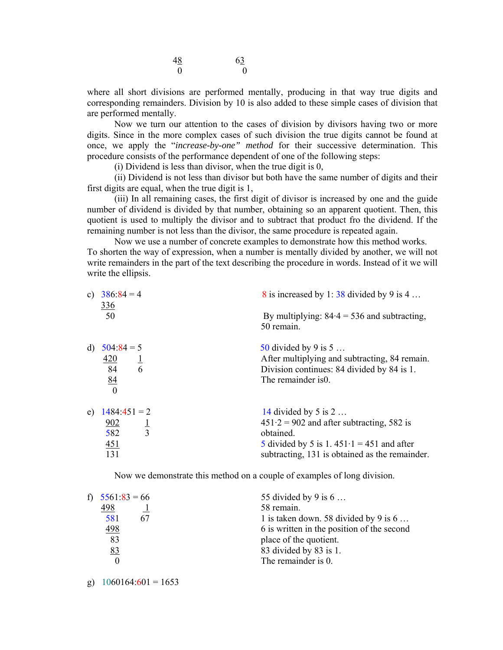| 48 | 63       |
|----|----------|
|    | $\Omega$ |

where all short divisions are performed mentally, producing in that way true digits and corresponding remainders. Division by 10 is also added to these simple cases of division that are performed mentally.

 Now we turn our attention to the cases of division by divisors having two or more digits. Since in the more complex cases of such division the true digits cannot be found at once, we apply the "*increase-by-one" method* for their successive determination. This procedure consists of the performance dependent of one of the following steps:

(i) Dividend is less than divisor, when the true digit is 0,

 (ii) Dividend is not less than divisor but both have the same number of digits and their first digits are equal, when the true digit is 1,

 (iii) In all remaining cases, the first digit of divisor is increased by one and the guide number of dividend is divided by that number, obtaining so an apparent quotient. Then, this quotient is used to multiply the divisor and to subtract that product fro the dividend. If the remaining number is not less than the divisor, the same procedure is repeated again.

 Now we use a number of concrete examples to demonstrate how this method works. To shorten the way of expression, when a number is mentally divided by another, we will not write remainders in the part of the text describing the procedure in words. Instead of it we will write the ellipsis.

| $\mathbf{c}$ ) | $386:84 = 4$<br><u>336</u> | 8 is increased by 1:38 divided by 9 is 4                    |
|----------------|----------------------------|-------------------------------------------------------------|
|                | 50                         | By multiplying: $84.4 = 536$ and subtracting,<br>50 remain. |
| d)             | $504:84 = 5$               | 50 divided by 9 is $5$                                      |
|                | 420                        | After multiplying and subtracting, 84 remain.               |
|                | $\frac{1}{6}$<br>84        | Division continues: 84 divided by 84 is 1.                  |
|                | 84<br>$\theta$             | The remainder is 0.                                         |
| e)             | $1484:451 = 2$             | 14 divided by 5 is $2 \dots$                                |
|                | 902                        | $451 \cdot 2 = 902$ and after subtracting, 582 is           |
|                | $\frac{1}{3}$<br>582       | obtained.                                                   |
|                | 451                        | 5 divided by 5 is 1.451 $\cdot$ 1 = 451 and after           |
|                | 131                        | subtracting, 131 is obtained as the remainder.              |

Now we demonstrate this method on a couple of examples of long division.

| f) $5561.83 = 66$ | 55 divided by 9 is $6 \ldots$                 |
|-------------------|-----------------------------------------------|
| 498               | 58 remain.                                    |
| 581<br>67         | 1 is taken down. 58 divided by 9 is $6 \dots$ |
| 498               | 6 is written in the position of the second    |
| 83                | place of the quotient.                        |
| 83                | 83 divided by 83 is 1.                        |
| $\Omega$          | The remainder is 0.                           |
|                   |                                               |

g)  $1060164:601 = 1653$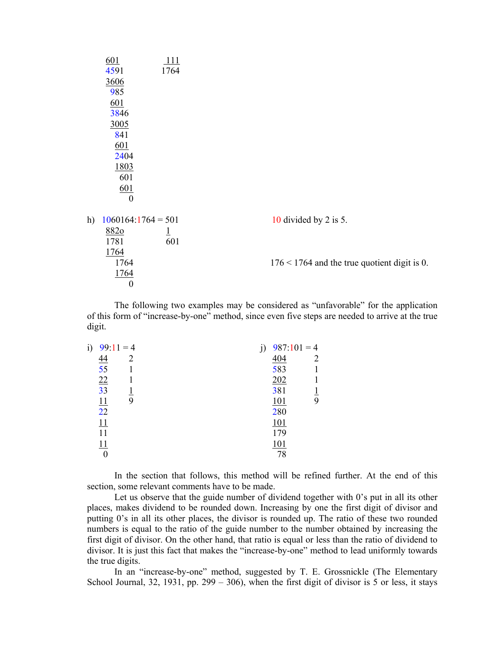|    | 601<br>4591          | <u>111</u><br>1764      |                                                |
|----|----------------------|-------------------------|------------------------------------------------|
|    | 3606                 |                         |                                                |
|    | 985                  |                         |                                                |
|    | 601                  |                         |                                                |
|    | 3846                 |                         |                                                |
|    | 3005                 |                         |                                                |
|    | 841                  |                         |                                                |
|    | 601                  |                         |                                                |
|    | 2404                 |                         |                                                |
|    | 1803                 |                         |                                                |
|    | 601                  |                         |                                                |
|    | 601                  |                         |                                                |
|    | $\boldsymbol{0}$     |                         |                                                |
| h) | $1060164:1764 = 501$ |                         | 10 divided by 2 is 5.                          |
|    | 8820                 | $\overline{\mathbf{1}}$ |                                                |
|    | 1781                 | 601                     |                                                |
|    | 1764                 |                         |                                                |
|    | 1764                 |                         | $176 < 1764$ and the true quotient digit is 0. |
|    | <u>1764</u>          |                         |                                                |
|    | $\boldsymbol{0}$     |                         |                                                |

 The following two examples may be considered as "unfavorable" for the application of this form of "increase-by-one" method, since even five steps are needed to arrive at the true digit.

| i) | $99:11 = 4$     |   |            | $987:101=4$ |
|----|-----------------|---|------------|-------------|
|    | <u>44</u>       | 2 | 404        |             |
|    | $\overline{55}$ |   | 583        |             |
|    | $\overline{22}$ |   | 202        |             |
|    | 33              |   | 381        |             |
|    | <u>11</u>       |   | <u>101</u> | 9           |
|    | 22              |   | 280        |             |
|    | 11              |   | 101        |             |
|    | 11              |   | 179        |             |
|    | 11              |   | 101        |             |
|    |                 |   | 78         |             |

 In the section that follows, this method will be refined further. At the end of this section, some relevant comments have to be made.

 Let us observe that the guide number of dividend together with 0's put in all its other places, makes dividend to be rounded down. Increasing by one the first digit of divisor and putting 0's in all its other places, the divisor is rounded up. The ratio of these two rounded numbers is equal to the ratio of the guide number to the number obtained by increasing the first digit of divisor. On the other hand, that ratio is equal or less than the ratio of dividend to divisor. It is just this fact that makes the "increase-by-one" method to lead uniformly towards the true digits.

 In an "increase-by-one" method, suggested by T. E. Grossnickle (The Elementary School Journal, 32, 1931, pp.  $299 - 306$ ), when the first digit of divisor is 5 or less, it stays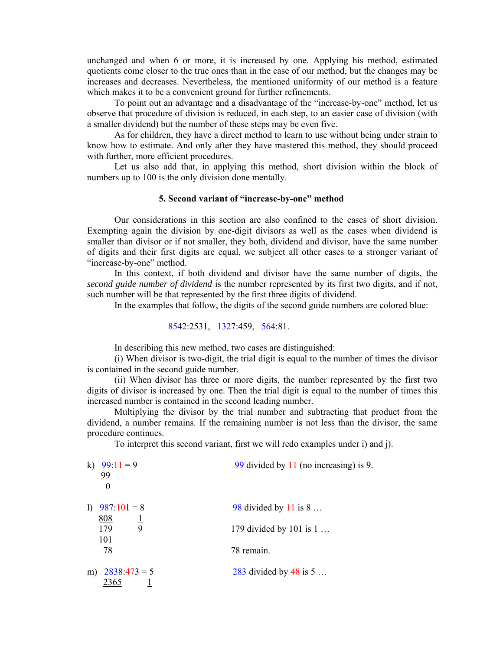unchanged and when 6 or more, it is increased by one. Applying his method, estimated quotients come closer to the true ones than in the case of our method, but the changes may be increases and decreases. Nevertheless, the mentioned uniformity of our method is a feature which makes it to be a convenient ground for further refinements.

 To point out an advantage and a disadvantage of the "increase-by-one" method, let us observe that procedure of division is reduced, in each step, to an easier case of division (with a smaller dividend) but the number of these steps may be even five.

 As for children, they have a direct method to learn to use without being under strain to know how to estimate. And only after they have mastered this method, they should proceed with further, more efficient procedures.

 Let us also add that, in applying this method, short division within the block of numbers up to 100 is the only division done mentally.

# **5. Second variant of "increase-by-one" method**

 Our considerations in this section are also confined to the cases of short division. Exempting again the division by one-digit divisors as well as the cases when dividend is smaller than divisor or if not smaller, they both, dividend and divisor, have the same number of digits and their first digits are equal, we subject all other cases to a stronger variant of "increase-by-one" method.

 In this context, if both dividend and divisor have the same number of digits, the *second guide number of dividend* is the number represented by its first two digits, and if not, such number will be that represented by the first three digits of dividend.

In the examples that follow, the digits of the second guide numbers are colored blue:

$$
8542:2531, 1327:459, 564.81.
$$

In describing this new method, two cases are distinguished:

 (i) When divisor is two-digit, the trial digit is equal to the number of times the divisor is contained in the second guide number.

 (ii) When divisor has three or more digits, the number represented by the first two digits of divisor is increased by one. Then the trial digit is equal to the number of times this increased number is contained in the second leading number.

 Multiplying the divisor by the trial number and subtracting that product from the dividend, a number remains. If the remaining number is not less than the divisor, the same procedure continues.

To interpret this second variant, first we will redo examples under i) and j).

| k)<br>$99.11 = 9$<br>99<br>$\theta$ | 99 divided by $11$ (no increasing) is 9. |
|-------------------------------------|------------------------------------------|
| $\mathbf{D}$<br>$987:101 = 8$       | 98 divided by 11 is $8 \dots$            |
| 808<br>179<br>9                     | 179 divided by 101 is $1 \dots$          |
| 101<br>78                           | 78 remain.                               |
| $2838:473=5$<br>m)<br>2365          | 283 divided by 48 is $5$                 |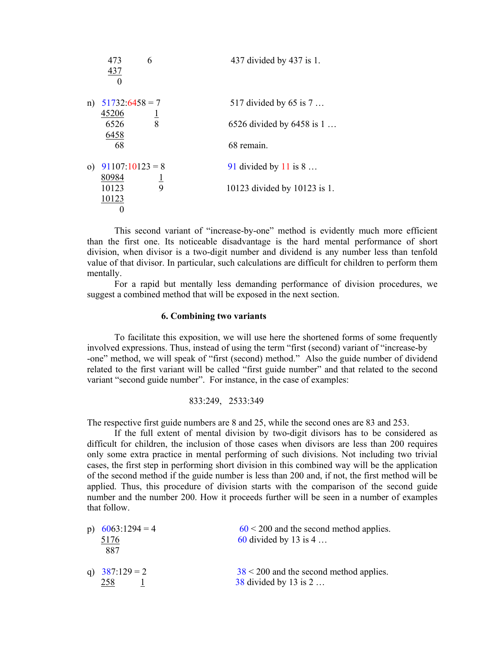|          | 473<br>437               | 6             | 437 divided by 437 is 1.       |
|----------|--------------------------|---------------|--------------------------------|
| n)       | $51732:6458=7$<br>45206  |               | 517 divided by 65 is $7 \dots$ |
|          | 6526<br>6458             | $\frac{1}{8}$ | 6526 divided by $6458$ is 1    |
|          | 68                       |               | 68 remain.                     |
| $\Omega$ | $91107:10123=8$<br>80984 |               | 91 divided by 11 is $8 \dots$  |
|          | 10123<br>10123           | $\frac{1}{9}$ | 10123 divided by 10123 is 1.   |

 This second variant of "increase-by-one" method is evidently much more efficient than the first one. Its noticeable disadvantage is the hard mental performance of short division, when divisor is a two-digit number and dividend is any number less than tenfold value of that divisor. In particular, such calculations are difficult for children to perform them mentally.

 For a rapid but mentally less demanding performance of division procedures, we suggest a combined method that will be exposed in the next section.

## **6. Combining two variants**

 To facilitate this exposition, we will use here the shortened forms of some frequently involved expressions. Thus, instead of using the term "first (second) variant of "increase-by -one" method, we will speak of "first (second) method." Also the guide number of dividend related to the first variant will be called "first guide number" and that related to the second variant "second guide number". For instance, in the case of examples:

## 833:249, 2533:349

The respective first guide numbers are 8 and 25, while the second ones are 83 and 253.

 If the full extent of mental division by two-digit divisors has to be considered as difficult for children, the inclusion of those cases when divisors are less than 200 requires only some extra practice in mental performing of such divisions. Not including two trivial cases, the first step in performing short division in this combined way will be the application of the second method if the guide number is less than 200 and, if not, the first method will be applied. Thus, this procedure of division starts with the comparison of the second guide number and the number 200. How it proceeds further will be seen in a number of examples that follow.

| p) $6063:1294 = 4$<br>5176<br>887 | $60 < 200$ and the second method applies.<br>60 divided by 13 is $4 \dots$ |
|-----------------------------------|----------------------------------------------------------------------------|
| q) $387:129 = 2$<br>258           | $38 < 200$ and the second method applies.<br>38 divided by 13 is $2 \dots$ |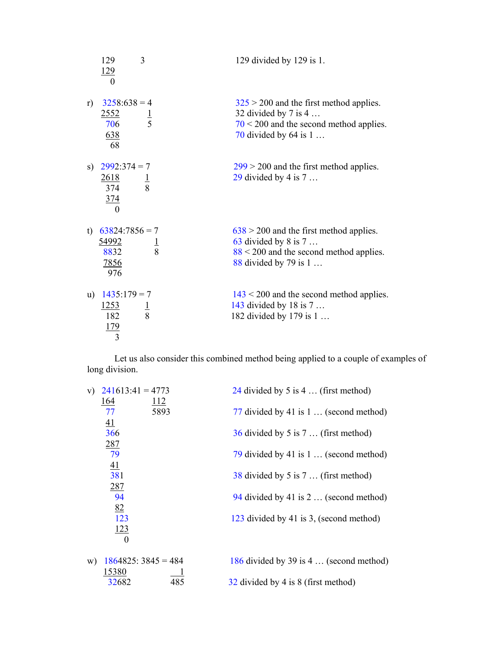|       | 129<br><u>129</u><br>$\theta$                                     | 3             | 129 divided by 129 is 1.                                                                                                                                    |
|-------|-------------------------------------------------------------------|---------------|-------------------------------------------------------------------------------------------------------------------------------------------------------------|
| r)    | $3258:638=4$<br><u>2552</u><br>706<br><u>638</u><br>68            | $\frac{1}{5}$ | $325 > 200$ and the first method applies.<br>32 divided by $7$ is $4 \ldots$<br>$70 < 200$ and the second method applies.<br>70 divided by 64 is $1 \ldots$ |
|       | s) $2992:374 = 7$<br>$\frac{2618}{374}$<br><u>374</u><br>$\theta$ | $\frac{1}{8}$ | $299 > 200$ and the first method applies.<br>29 divided by 4 is $7 \dots$                                                                                   |
| $t$ ) | $63824:7856 = 7$<br><u>54992</u><br>8832<br><u>7856</u><br>976    |               | $638 > 200$ and the first method applies.<br>63 divided by 8 is $7 \dots$<br>$88 < 200$ and the second method applies.<br>88 divided by 79 is $1 \ldots$    |
| u)    | $1435:179 = 7$<br><u>1253</u><br>182<br>179<br>3                  | $\frac{1}{8}$ | $143 < 200$ and the second method applies.<br>143 divided by 18 is $7 \dots$<br>182 divided by 179 is 1                                                     |

 Let us also consider this combined method being applied to a couple of examples of long division.

| $241613:41 = 4773$<br>V)               | 24 divided by 5 is 4  (first method)          |
|----------------------------------------|-----------------------------------------------|
| <u>164</u><br><u>112</u><br>5893<br>77 | 77 divided by 41 is $1 \dots$ (second method) |
| 41<br>366                              | $36$ divided by 5 is 7  (first method)        |
| 287<br>79                              |                                               |
| 41                                     | 79 divided by 41 is $1 \dots$ (second method) |
| 381<br>287                             | 38 divided by 5 is 7  (first method)          |
| 94                                     | 94 divided by 41 is $2 \dots$ (second method) |
| 82<br>123                              | 123 divided by 41 is 3, (second method)       |
| 123<br>$\Omega$                        |                                               |
| $1864825:3845=484$                     | 186 divided by 39 is 4  (second method)       |
| W)<br>15380                            |                                               |
| 485<br>32682                           | 32 divided by 4 is 8 (first method)           |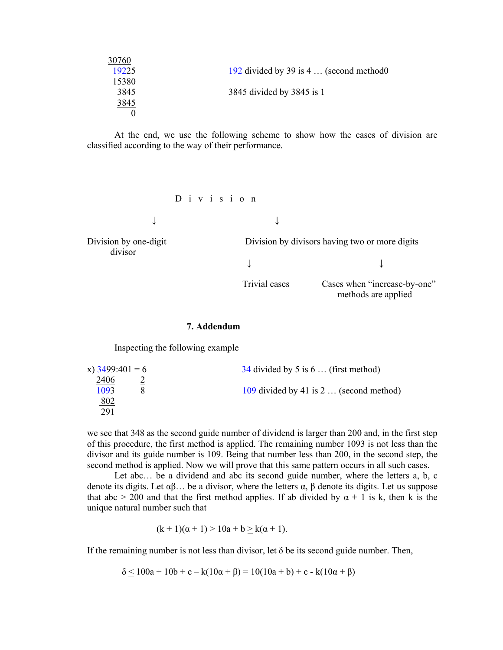| 30760 |                                                |
|-------|------------------------------------------------|
| 19225 | 192 divided by 39 is $4 \dots$ (second method) |
| 15380 |                                                |
| 3845  | 3845 divided by 3845 is 1                      |
| 3845  |                                                |
|       |                                                |
|       |                                                |

 At the end, we use the following scheme to show how the cases of division are classified according to the way of their performance.

D i v i s i o n

↓ ↓

↓ ↓

divisor

Division by one-digit Division by divisors having two or more digits

Trivial cases Cases when "increase-by-one" methods are applied

## **7. Addendum**

Inspecting the following example

| $34$ divided by 5 is 6  (first method)         |
|------------------------------------------------|
|                                                |
| 109 divided by 41 is $2 \dots$ (second method) |
|                                                |
|                                                |
|                                                |

we see that 348 as the second guide number of dividend is larger than 200 and, in the first step of this procedure, the first method is applied. The remaining number 1093 is not less than the divisor and its guide number is 109. Being that number less than 200, in the second step, the second method is applied. Now we will prove that this same pattern occurs in all such cases.

Let abc... be a dividend and abc its second guide number, where the letters a, b, c denote its digits. Let  $αβ...$  be a divisor, where the letters  $α$ ,  $β$  denote its digits. Let us suppose that abc  $> 200$  and that the first method applies. If ab divided by  $\alpha + 1$  is k, then k is the unique natural number such that

$$
(k+1)(\alpha+1) > 10a + b \ge k(\alpha+1).
$$

If the remaining number is not less than divisor, let  $\delta$  be its second guide number. Then,

 $δ ≤ 100a + 10b + c - k(10α + β) = 10(10a + b) + c - k(10α + β)$